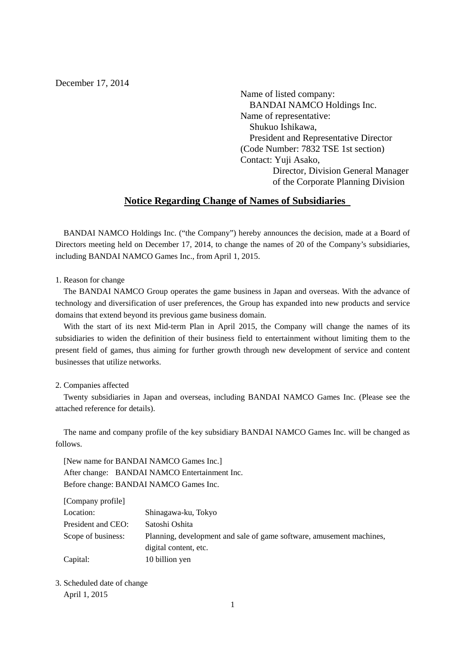December 17, 2014

Name of listed company: BANDAI NAMCO Holdings Inc. Name of representative: Shukuo Ishikawa, President and Representative Director (Code Number: 7832 TSE 1st section) Contact: Yuji Asako, Director, Division General Manager of the Corporate Planning Division

## **Notice Regarding Change of Names of Subsidiaries**

BANDAI NAMCO Holdings Inc. ("the Company") hereby announces the decision, made at a Board of Directors meeting held on December 17, 2014, to change the names of 20 of the Company's subsidiaries, including BANDAI NAMCO Games Inc., from April 1, 2015.

1. Reason for change

The BANDAI NAMCO Group operates the game business in Japan and overseas. With the advance of technology and diversification of user preferences, the Group has expanded into new products and service domains that extend beyond its previous game business domain.

With the start of its next Mid-term Plan in April 2015, the Company will change the names of its subsidiaries to widen the definition of their business field to entertainment without limiting them to the present field of games, thus aiming for further growth through new development of service and content businesses that utilize networks.

## 2. Companies affected

Twenty subsidiaries in Japan and overseas, including BANDAI NAMCO Games Inc. (Please see the attached reference for details).

The name and company profile of the key subsidiary BANDAI NAMCO Games Inc. will be changed as follows.

[New name for BANDAI NAMCO Games Inc.] After change: BANDAI NAMCO Entertainment Inc. Before change: BANDAI NAMCO Games Inc.

| [Company profile]  |                                                                      |
|--------------------|----------------------------------------------------------------------|
| Location:          | Shinagawa-ku, Tokyo                                                  |
| President and CEO: | Satoshi Oshita                                                       |
| Scope of business: | Planning, development and sale of game software, amusement machines, |
|                    | digital content, etc.                                                |
| Capital:           | 10 billion yen                                                       |

3. Scheduled date of change April 1, 2015